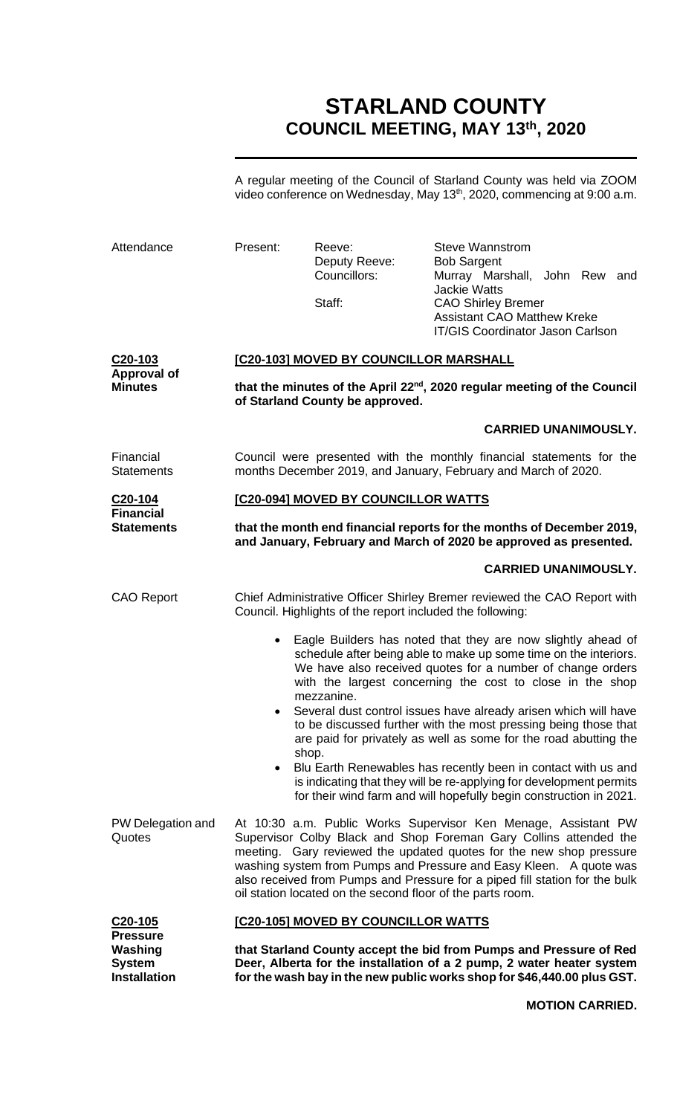# **STARLAND COUNTY COUNCIL MEETING, MAY 13th, 2020**

A regular meeting of the Council of Starland County was held via ZOOM video conference on Wednesday, May 13<sup>th</sup>, 2020, commencing at 9:00 a.m.

| <b>Pressure</b><br>Washing<br><b>System</b><br><b>Installation</b> |                                                                                                                                            | that Starland County accept the bid from Pumps and Pressure of Red<br>Deer, Alberta for the installation of a 2 pump, 2 water heater system<br>for the wash bay in the new public works shop for \$46,440.00 plus GST.                                                                                                                                                                                                                                                                                                                                                                                                                                                                            |                                                                                                                                   |                             |  |
|--------------------------------------------------------------------|--------------------------------------------------------------------------------------------------------------------------------------------|---------------------------------------------------------------------------------------------------------------------------------------------------------------------------------------------------------------------------------------------------------------------------------------------------------------------------------------------------------------------------------------------------------------------------------------------------------------------------------------------------------------------------------------------------------------------------------------------------------------------------------------------------------------------------------------------------|-----------------------------------------------------------------------------------------------------------------------------------|-----------------------------|--|
| C20-105                                                            |                                                                                                                                            | [C20-105] MOVED BY COUNCILLOR WATTS                                                                                                                                                                                                                                                                                                                                                                                                                                                                                                                                                                                                                                                               |                                                                                                                                   |                             |  |
| PW Delegation and<br>Quotes                                        |                                                                                                                                            | At 10:30 a.m. Public Works Supervisor Ken Menage, Assistant PW<br>Supervisor Colby Black and Shop Foreman Gary Collins attended the<br>meeting. Gary reviewed the updated quotes for the new shop pressure<br>washing system from Pumps and Pressure and Easy Kleen. A quote was<br>also received from Pumps and Pressure for a piped fill station for the bulk<br>oil station located on the second floor of the parts room.                                                                                                                                                                                                                                                                     |                                                                                                                                   |                             |  |
|                                                                    | $\bullet$<br>$\bullet$<br>shop.<br>$\bullet$                                                                                               | Eagle Builders has noted that they are now slightly ahead of<br>schedule after being able to make up some time on the interiors.<br>We have also received quotes for a number of change orders<br>with the largest concerning the cost to close in the shop<br>mezzanine.<br>Several dust control issues have already arisen which will have<br>to be discussed further with the most pressing being those that<br>are paid for privately as well as some for the road abutting the<br>Blu Earth Renewables has recently been in contact with us and<br>is indicating that they will be re-applying for development permits<br>for their wind farm and will hopefully begin construction in 2021. |                                                                                                                                   |                             |  |
| <b>CAO Report</b>                                                  |                                                                                                                                            | Chief Administrative Officer Shirley Bremer reviewed the CAO Report with<br>Council. Highlights of the report included the following:                                                                                                                                                                                                                                                                                                                                                                                                                                                                                                                                                             |                                                                                                                                   | <b>CARRIED UNANIMOUSLY.</b> |  |
| <b>Statements</b>                                                  | that the month end financial reports for the months of December 2019,<br>and January, February and March of 2020 be approved as presented. |                                                                                                                                                                                                                                                                                                                                                                                                                                                                                                                                                                                                                                                                                                   |                                                                                                                                   |                             |  |
| C <sub>20</sub> -104<br><b>Financial</b>                           | [C20-094] MOVED BY COUNCILLOR WATTS                                                                                                        |                                                                                                                                                                                                                                                                                                                                                                                                                                                                                                                                                                                                                                                                                                   |                                                                                                                                   |                             |  |
| Financial<br><b>Statements</b>                                     |                                                                                                                                            | Council were presented with the monthly financial statements for the<br>months December 2019, and January, February and March of 2020.                                                                                                                                                                                                                                                                                                                                                                                                                                                                                                                                                            |                                                                                                                                   |                             |  |
|                                                                    |                                                                                                                                            |                                                                                                                                                                                                                                                                                                                                                                                                                                                                                                                                                                                                                                                                                                   |                                                                                                                                   | <b>CARRIED UNANIMOUSLY.</b> |  |
| C <sub>20</sub> -103<br><b>Approval of</b><br><b>Minutes</b>       |                                                                                                                                            | [C20-103] MOVED BY COUNCILLOR MARSHALL<br>that the minutes of the April 22 <sup>nd</sup> , 2020 regular meeting of the Council<br>of Starland County be approved.                                                                                                                                                                                                                                                                                                                                                                                                                                                                                                                                 |                                                                                                                                   |                             |  |
|                                                                    |                                                                                                                                            | Staff:                                                                                                                                                                                                                                                                                                                                                                                                                                                                                                                                                                                                                                                                                            | <b>Jackie Watts</b><br><b>CAO Shirley Bremer</b><br><b>Assistant CAO Matthew Kreke</b><br><b>IT/GIS Coordinator Jason Carlson</b> |                             |  |
| Attendance                                                         | Present:                                                                                                                                   | Reeve:<br>Deputy Reeve:<br>Councillors:                                                                                                                                                                                                                                                                                                                                                                                                                                                                                                                                                                                                                                                           | <b>Steve Wannstrom</b><br><b>Bob Sargent</b><br>Murray Marshall, John Rew and                                                     |                             |  |

**MOTION CARRIED.**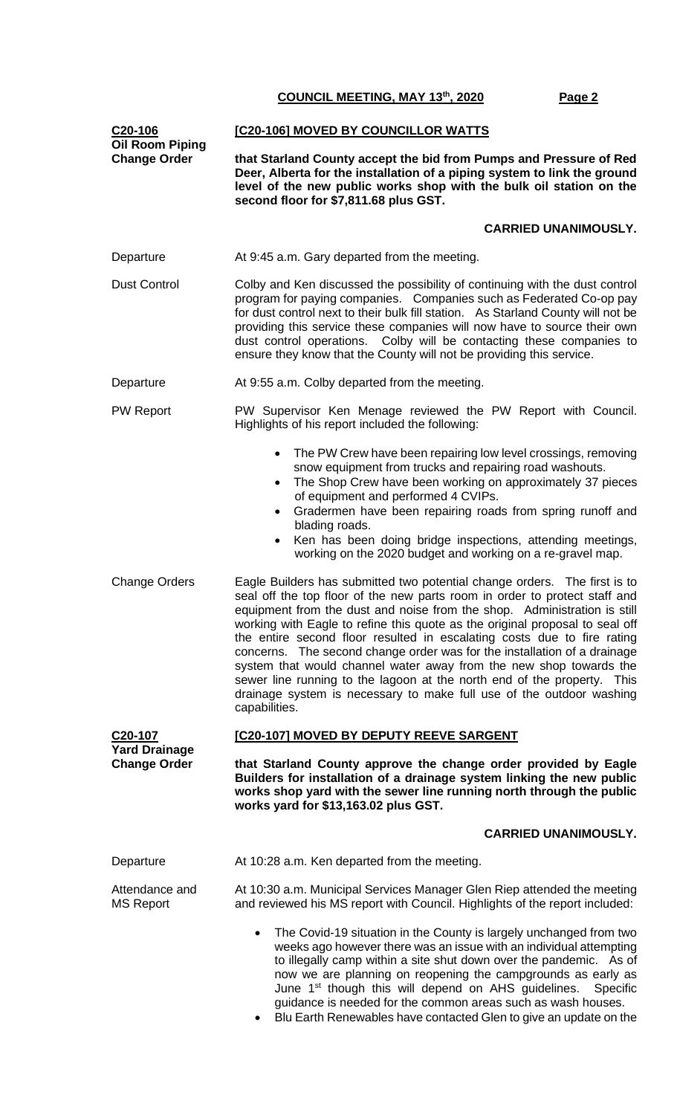| C <sub>20</sub> -106<br><b>Oil Room Piping</b> | [C20-106] MOVED BY COUNCILLOR WATTS                                                                                                                                                                                                                                                                                                                                                                                                                                                                                                                                                                                                                                                                                  |  |  |
|------------------------------------------------|----------------------------------------------------------------------------------------------------------------------------------------------------------------------------------------------------------------------------------------------------------------------------------------------------------------------------------------------------------------------------------------------------------------------------------------------------------------------------------------------------------------------------------------------------------------------------------------------------------------------------------------------------------------------------------------------------------------------|--|--|
| <b>Change Order</b>                            | that Starland County accept the bid from Pumps and Pressure of Red<br>Deer, Alberta for the installation of a piping system to link the ground<br>level of the new public works shop with the bulk oil station on the<br>second floor for \$7,811.68 plus GST.                                                                                                                                                                                                                                                                                                                                                                                                                                                       |  |  |
|                                                | <b>CARRIED UNANIMOUSLY.</b>                                                                                                                                                                                                                                                                                                                                                                                                                                                                                                                                                                                                                                                                                          |  |  |
| Departure                                      | At 9:45 a.m. Gary departed from the meeting.                                                                                                                                                                                                                                                                                                                                                                                                                                                                                                                                                                                                                                                                         |  |  |
| <b>Dust Control</b>                            | Colby and Ken discussed the possibility of continuing with the dust control<br>program for paying companies. Companies such as Federated Co-op pay<br>for dust control next to their bulk fill station. As Starland County will not be<br>providing this service these companies will now have to source their own<br>dust control operations. Colby will be contacting these companies to<br>ensure they know that the County will not be providing this service.                                                                                                                                                                                                                                                   |  |  |
| Departure                                      | At 9:55 a.m. Colby departed from the meeting.                                                                                                                                                                                                                                                                                                                                                                                                                                                                                                                                                                                                                                                                        |  |  |
| <b>PW Report</b>                               | PW Supervisor Ken Menage reviewed the PW Report with Council.<br>Highlights of his report included the following:                                                                                                                                                                                                                                                                                                                                                                                                                                                                                                                                                                                                    |  |  |
|                                                | The PW Crew have been repairing low level crossings, removing<br>$\bullet$<br>snow equipment from trucks and repairing road washouts.<br>The Shop Crew have been working on approximately 37 pieces<br>$\bullet$<br>of equipment and performed 4 CVIPs.<br>Gradermen have been repairing roads from spring runoff and<br>$\bullet$<br>blading roads.<br>Ken has been doing bridge inspections, attending meetings,<br>$\bullet$<br>working on the 2020 budget and working on a re-gravel map.                                                                                                                                                                                                                        |  |  |
| <b>Change Orders</b>                           | Eagle Builders has submitted two potential change orders. The first is to<br>seal off the top floor of the new parts room in order to protect staff and<br>equipment from the dust and noise from the shop. Administration is still<br>working with Eagle to refine this quote as the original proposal to seal off<br>the entire second floor resulted in escalating costs due to fire rating<br>concerns. The second change order was for the installation of a drainage<br>system that would channel water away from the new shop towards the<br>sewer line running to the lagoon at the north end of the property. This<br>drainage system is necessary to make full use of the outdoor washing<br>capabilities. |  |  |
| C <sub>20</sub> -107                           | [C20-107] MOVED BY DEPUTY REEVE SARGENT                                                                                                                                                                                                                                                                                                                                                                                                                                                                                                                                                                                                                                                                              |  |  |
| <b>Yard Drainage</b><br><b>Change Order</b>    | that Starland County approve the change order provided by Eagle<br>Builders for installation of a drainage system linking the new public<br>works shop yard with the sewer line running north through the public<br>works yard for \$13,163.02 plus GST.                                                                                                                                                                                                                                                                                                                                                                                                                                                             |  |  |
|                                                | <b>CARRIED UNANIMOUSLY.</b>                                                                                                                                                                                                                                                                                                                                                                                                                                                                                                                                                                                                                                                                                          |  |  |
| Departure                                      | At 10:28 a.m. Ken departed from the meeting.                                                                                                                                                                                                                                                                                                                                                                                                                                                                                                                                                                                                                                                                         |  |  |
| Attendance and<br><b>MS Report</b>             | At 10:30 a.m. Municipal Services Manager Glen Riep attended the meeting<br>and reviewed his MS report with Council. Highlights of the report included:                                                                                                                                                                                                                                                                                                                                                                                                                                                                                                                                                               |  |  |
|                                                | The Covid-19 situation in the County is largely unchanged from two<br>$\bullet$<br>weeks ago however there was an issue with an individual attempting<br>to illegally camp within a site shut down over the pandemic. As of<br>now we are planning on reopening the campgrounds as early as<br>June 1 <sup>st</sup> though this will depend on AHS guidelines. Specific<br>guidance is needed for the common areas such as wash houses.<br>Blu Earth Renewables have contacted Glen to give an update on the<br>$\bullet$                                                                                                                                                                                            |  |  |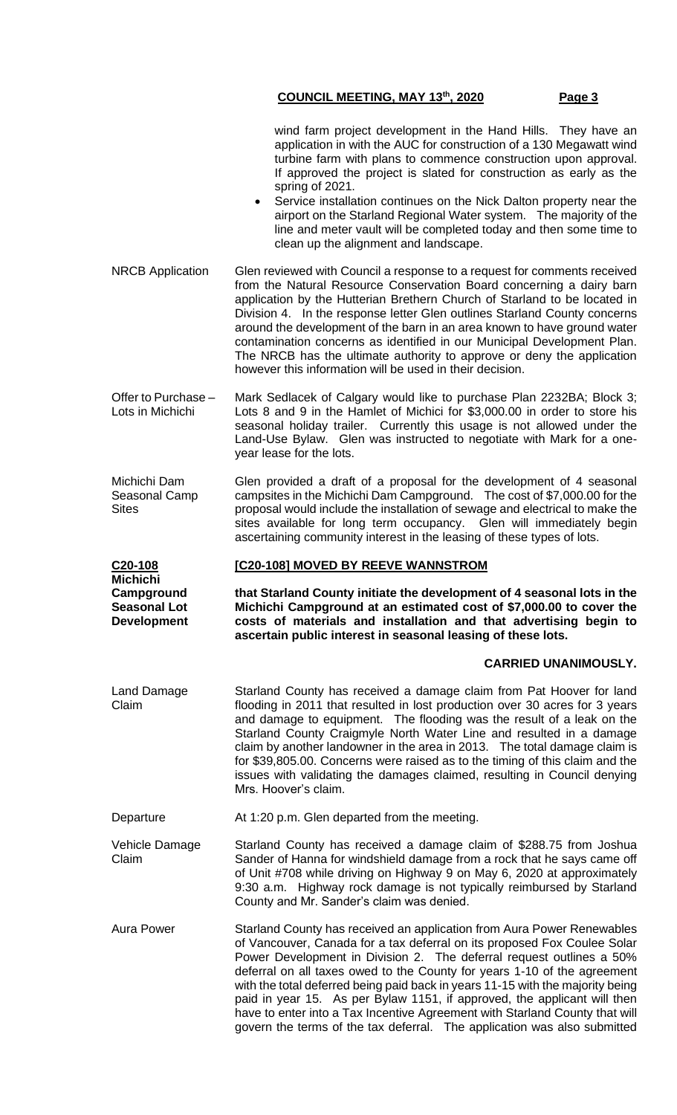| wind farm project development in the Hand Hills. They have an        |
|----------------------------------------------------------------------|
| application in with the AUC for construction of a 130 Megawatt wind  |
| turbine farm with plans to commence construction upon approval.      |
| If approved the project is slated for construction as early as the   |
| spring of 2021.                                                      |
| Convice installation continuos on the Night Dolton property poor the |

- Service installation continues on the Nick Dalton property near the airport on the Starland Regional Water system. The majority of the line and meter vault will be completed today and then some time to clean up the alignment and landscape.
- NRCB Application Glen reviewed with Council a response to a request for comments received from the Natural Resource Conservation Board concerning a dairy barn application by the Hutterian Brethern Church of Starland to be located in Division 4. In the response letter Glen outlines Starland County concerns around the development of the barn in an area known to have ground water contamination concerns as identified in our Municipal Development Plan. The NRCB has the ultimate authority to approve or deny the application however this information will be used in their decision.
- Offer to Purchase Lots in Michichi Mark Sedlacek of Calgary would like to purchase Plan 2232BA; Block 3; Lots 8 and 9 in the Hamlet of Michici for \$3,000.00 in order to store his seasonal holiday trailer. Currently this usage is not allowed under the Land-Use Bylaw. Glen was instructed to negotiate with Mark for a oneyear lease for the lots.

Michichi Dam Seasonal Camp **Sites** Glen provided a draft of a proposal for the development of 4 seasonal campsites in the Michichi Dam Campground. The cost of \$7,000.00 for the proposal would include the installation of sewage and electrical to make the sites available for long term occupancy. Glen will immediately begin ascertaining community interest in the leasing of these types of lots.

#### **[C20-108] MOVED BY REEVE WANNSTROM**

**that Starland County initiate the development of 4 seasonal lots in the Michichi Campground at an estimated cost of \$7,000.00 to cover the costs of materials and installation and that advertising begin to ascertain public interest in seasonal leasing of these lots.**

#### **CARRIED UNANIMOUSLY.**

Land Damage Claim Starland County has received a damage claim from Pat Hoover for land flooding in 2011 that resulted in lost production over 30 acres for 3 years and damage to equipment. The flooding was the result of a leak on the Starland County Craigmyle North Water Line and resulted in a damage claim by another landowner in the area in 2013. The total damage claim is for \$39,805.00. Concerns were raised as to the timing of this claim and the issues with validating the damages claimed, resulting in Council denying Mrs. Hoover's claim.

Departure **At 1:20 p.m. Glen departed from the meeting.** 

**C20-108 Michichi Campground Seasonal Lot Development**

Vehicle Damage Claim Starland County has received a damage claim of \$288.75 from Joshua Sander of Hanna for windshield damage from a rock that he says came off of Unit #708 while driving on Highway 9 on May 6, 2020 at approximately 9:30 a.m. Highway rock damage is not typically reimbursed by Starland County and Mr. Sander's claim was denied.

Aura Power Starland County has received an application from Aura Power Renewables of Vancouver, Canada for a tax deferral on its proposed Fox Coulee Solar Power Development in Division 2. The deferral request outlines a 50% deferral on all taxes owed to the County for years 1-10 of the agreement with the total deferred being paid back in years 11-15 with the majority being paid in year 15. As per Bylaw 1151, if approved, the applicant will then have to enter into a Tax Incentive Agreement with Starland County that will govern the terms of the tax deferral. The application was also submitted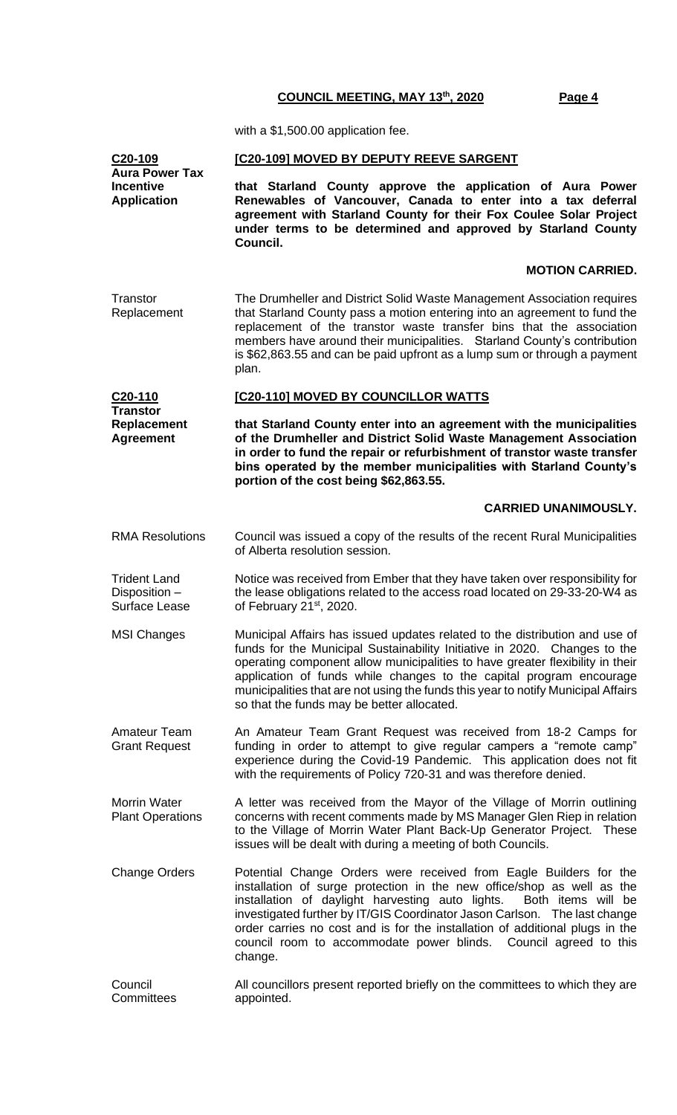with a \$1,500.00 application fee.

| C20-109<br><b>Aura Power Tax</b>                              | [C20-109] MOVED BY DEPUTY REEVE SARGENT                                                                                                                                                                                                                                                                                                                                                                                                                           |
|---------------------------------------------------------------|-------------------------------------------------------------------------------------------------------------------------------------------------------------------------------------------------------------------------------------------------------------------------------------------------------------------------------------------------------------------------------------------------------------------------------------------------------------------|
| <b>Incentive</b><br><b>Application</b>                        | that Starland County approve the application of Aura Power<br>Renewables of Vancouver, Canada to enter into a tax deferral<br>agreement with Starland County for their Fox Coulee Solar Project<br>under terms to be determined and approved by Starland County<br>Council.                                                                                                                                                                                       |
|                                                               | <b>MOTION CARRIED.</b>                                                                                                                                                                                                                                                                                                                                                                                                                                            |
| Transtor<br>Replacement                                       | The Drumheller and District Solid Waste Management Association requires<br>that Starland County pass a motion entering into an agreement to fund the<br>replacement of the transtor waste transfer bins that the association<br>members have around their municipalities. Starland County's contribution<br>is \$62,863.55 and can be paid upfront as a lump sum or through a payment<br>plan.                                                                    |
| C20-110<br>Transtor<br><b>Replacement</b><br><b>Agreement</b> | [C20-110] MOVED BY COUNCILLOR WATTS                                                                                                                                                                                                                                                                                                                                                                                                                               |
|                                                               | that Starland County enter into an agreement with the municipalities<br>of the Drumheller and District Solid Waste Management Association<br>in order to fund the repair or refurbishment of transtor waste transfer<br>bins operated by the member municipalities with Starland County's<br>portion of the cost being \$62,863.55.                                                                                                                               |
|                                                               | <b>CARRIED UNANIMOUSLY.</b>                                                                                                                                                                                                                                                                                                                                                                                                                                       |
| <b>RMA Resolutions</b>                                        | Council was issued a copy of the results of the recent Rural Municipalities<br>of Alberta resolution session.                                                                                                                                                                                                                                                                                                                                                     |
| <b>Trident Land</b><br>Disposition -<br>Surface Lease         | Notice was received from Ember that they have taken over responsibility for<br>the lease obligations related to the access road located on 29-33-20-W4 as<br>of February 21 <sup>st</sup> , 2020.                                                                                                                                                                                                                                                                 |
| <b>MSI Changes</b>                                            | Municipal Affairs has issued updates related to the distribution and use of<br>funds for the Municipal Sustainability Initiative in 2020. Changes to the<br>operating component allow municipalities to have greater flexibility in their<br>application of funds while changes to the capital program encourage<br>municipalities that are not using the funds this year to notify Municipal Affairs<br>so that the funds may be better allocated.               |
| <b>Amateur Team</b><br><b>Grant Request</b>                   | An Amateur Team Grant Request was received from 18-2 Camps for<br>funding in order to attempt to give regular campers a "remote camp"<br>experience during the Covid-19 Pandemic. This application does not fit<br>with the requirements of Policy 720-31 and was therefore denied.                                                                                                                                                                               |
| <b>Morrin Water</b><br><b>Plant Operations</b>                | A letter was received from the Mayor of the Village of Morrin outlining<br>concerns with recent comments made by MS Manager Glen Riep in relation<br>to the Village of Morrin Water Plant Back-Up Generator Project. These<br>issues will be dealt with during a meeting of both Councils.                                                                                                                                                                        |
| <b>Change Orders</b>                                          | Potential Change Orders were received from Eagle Builders for the<br>installation of surge protection in the new office/shop as well as the<br>installation of daylight harvesting auto lights.<br>Both items will be<br>investigated further by IT/GIS Coordinator Jason Carlson. The last change<br>order carries no cost and is for the installation of additional plugs in the<br>council room to accommodate power blinds. Council agreed to this<br>change. |
| Council<br>Committees                                         | All councillors present reported briefly on the committees to which they are<br>appointed.                                                                                                                                                                                                                                                                                                                                                                        |